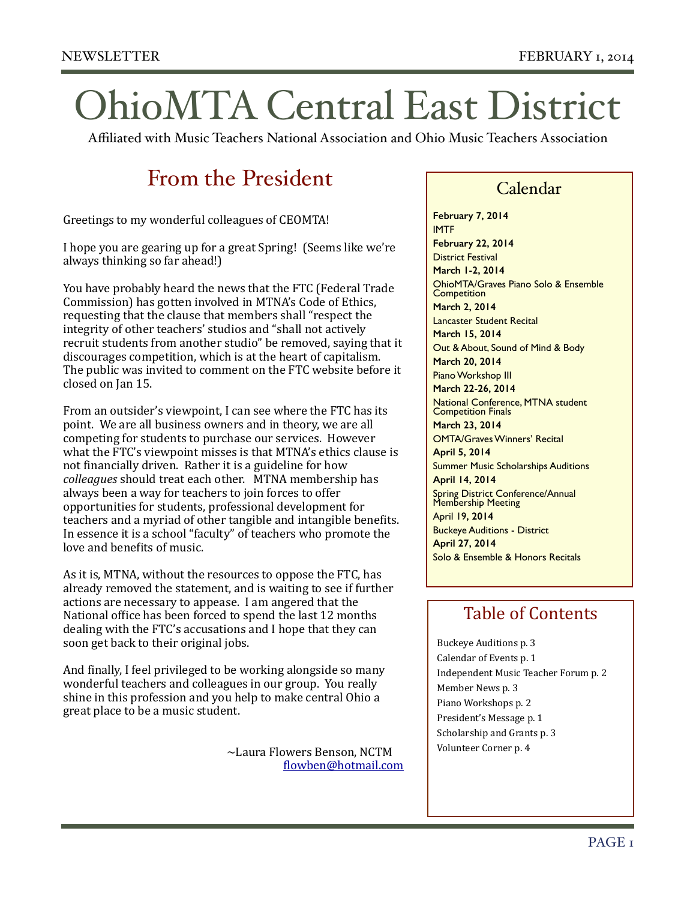# OhioMTA Central East District

Affiliated with Music Teachers National Association and Ohio Music Teachers Association

# From the President

Greetings to my wonderful colleagues of CEOMTA!

I hope you are gearing up for a great Spring! (Seems like we're) always thinking so far ahead!)

You have probably heard the news that the FTC (Federal Trade) Commission) has gotten involved in MTNA's Code of Ethics, requesting that the clause that members shall "respect the integrity of other teachers' studios and "shall not actively recruit students from another studio" be removed, saying that it discourages competition, which is at the heart of capitalism. The public was invited to comment on the FTC website before it closed on Ian 15.

From an outsider's viewpoint, I can see where the FTC has its point. We are all business owners and in theory, we are all competing for students to purchase our services. However what the FTC's viewpoint misses is that MTNA's ethics clause is not financially driven. Rather it is a guideline for how *colleagues* should treat each other. MTNA membership has always been a way for teachers to join forces to offer opportunities for students, professional development for teachers and a myriad of other tangible and intangible benefits. In essence it is a school "faculty" of teachers who promote the love and benefits of music.

As it is, MTNA, without the resources to oppose the FTC, has already removed the statement, and is waiting to see if further actions are necessary to appease. I am angered that the National office has been forced to spend the last 12 months dealing with the FTC's accusations and I hope that they can soon get back to their original jobs.

And finally, I feel privileged to be working alongside so many wonderful teachers and colleagues in our group. You really shine in this profession and you help to make central Ohio a great place to be a music student.

> $\sim$ Laura Flowers Benson, NCTM **! !** [Rlowben@hotmail.com](mailto:flowben@hotmail.com)

### Calendar

**February 7, 2014** IMTF **February 22, 2014** District Festival **March 1-2, 2014** OhioMTA/Graves Piano Solo & Ensemble **Competition March 2, 2014** Lancaster Student Recital **March 15, 2014** Out & About, Sound of Mind & Body **March 20, 2014** Piano Workshop III **March 22-26, 2014** National Conference, MTNA student **Competition Finals March 23, 2014** OMTA/Graves Winners' Recital **April 5, 2014** Summer Music Scholarships Auditions **April 14, 2014** Spring District Conference/Annual Membership Meeting April 19**, 2014** Buckeye Auditions - District **April 27, 2014** Solo & Ensemble & Honors Recitals

### Table of Contents

Buckeye Auditions p. 3 Calendar of Events p. 1 Independent Music Teacher Forum p. 2 Member News p. 3 Piano Workshops p. 2 President's Message p. 1 Scholarship and Grants p. 3 Volunteer Corner p. 4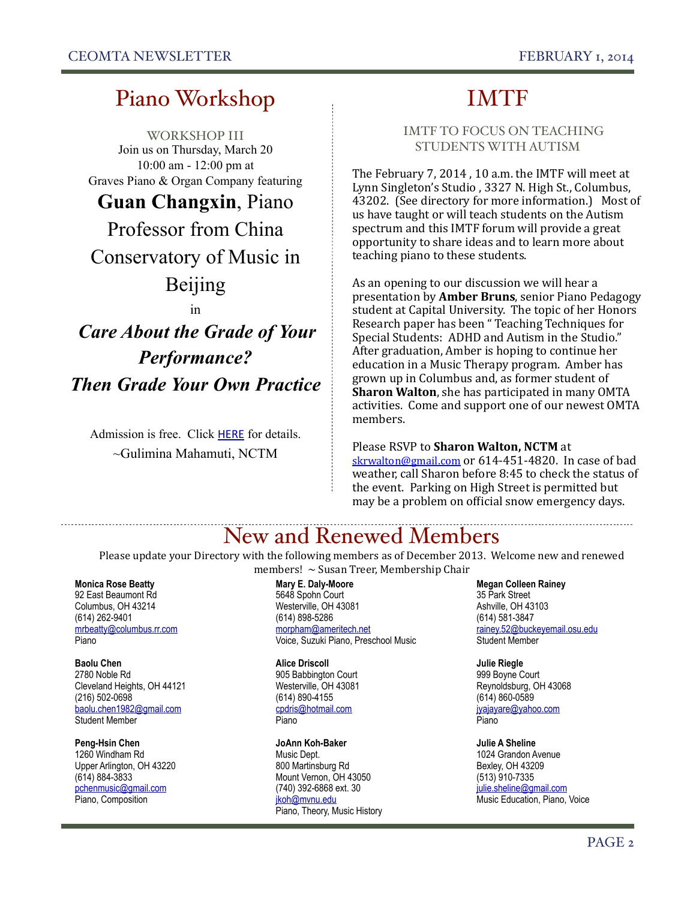## Piano Workshop

WORKSHOP III Join us on Thursday, March 20 10:00 am - 12:00 pm at Graves Piano & Organ Company featuring

### **Guan Changxin**, Piano

Professor from China Conservatory of Music in

### Beijing

in

# *Care About the Grade of Your Performance? Then Grade Your Own Practice*

Admission is free. Click HERE for details. ~Gulimina Mahamuti, NCTM

### IMTF

#### IMTF TO FOCUS ON TEACHING STUDENTS WITH AUTISM

The February 7, 2014, 10 a.m. the IMTF will meet at Lynn Singleton's Studio, 3327 N. High St., Columbus, 43202. (See directory for more information.) Most of us have taught or will teach students on the Autism spectrum and this IMTF forum will provide a great opportunity to share ideas and to learn more about teaching piano to these students.

As an opening to our discussion we will hear a presentation by **Amber Bruns**, senior Piano Pedagogy student at Capital University. The topic of her Honors Research paper has been "Teaching Techniques for Special Students: ADHD and Autism in the Studio." After graduation, Amber is hoping to continue her education in a Music Therapy program. Amber has grown up in Columbus and, as former student of **Sharon Walton**, she has participated in many OMTA activities. Come and support one of our newest OMTA members.

#### Please RSVP to Sharon Walton, NCTM at

skrwalton@gmail.com or  $614-451-4820$ . In case of bad weather, call Sharon before 8:45 to check the status of the event. Parking on High Street is permitted but may be a problem on official snow emergency days.

### New and Renewed Members

Please update your Directory with the following members as of December 2013. Welcome new and renewed members!  $\sim$  Susan Treer, Membership Chair

#### **Monica Rose Beatty**

92 East Beaumont Rd Columbus, OH 43214 (614) 262-9401 mrbeatty@columbus.rr.com Piano

**Baolu Chen**  2780 Noble Rd Cleveland Heights, OH 44121 (216) 502-0698 baolu.chen1982@gmail.com Student Member

**Peng-Hsin Chen**  1260 Windham Rd Upper Arlington, OH 43220 (614) 884-3833 pchenmusic@gmail.com Piano, Composition

**Mary E. Daly-Moore**  5648 Spohn Court Westerville, OH 43081 (614) 898-5286 morpham@ameritech.net Voice, Suzuki Piano, Preschool Music

**Alice Driscoll**  905 Babbington Court Westerville, OH 43081 (614) 890-4155 cpdris@hotmail.com Piano

**JoAnn Koh-Baker**  Music Dept. 800 Martinsburg Rd Mount Vernon, OH 43050 (740) 392-6868 ext. 30 jkoh@mvnu.edu Piano, Theory, Music History **Megan Colleen Rainey**  35 Park Street Ashville, OH 43103 (614) 581-3847 rainey.52@buckeyemail.osu.edu Student Member

**Julie Riegle**  999 Boyne Court Reynoldsburg, OH 43068 (614) 860-0589 jyajayare@yahoo.com Piano

**Julie A Sheline**  1024 Grandon Avenue Bexley, OH 43209 (513) 910-7335 julie.sheline@gmail.com Music Education, Piano, Voice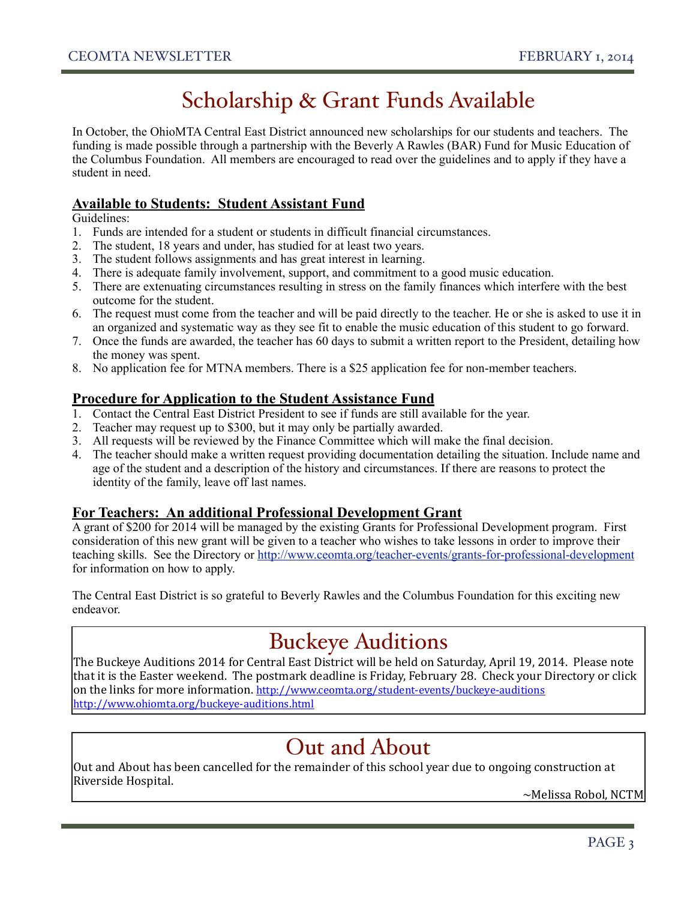# Scholarship & Grant Funds Available

In October, the OhioMTA Central East District announced new scholarships for our students and teachers. The funding is made possible through a partnership with the Beverly A Rawles (BAR) Fund for Music Education of the Columbus Foundation. All members are encouraged to read over the guidelines and to apply if they have a student in need.

#### **Available to Students: Student Assistant Fund**

Guidelines:

- 1. Funds are intended for a student or students in difficult financial circumstances.
- 2. The student, 18 years and under, has studied for at least two years.
- 3. The student follows assignments and has great interest in learning.
- 4. There is adequate family involvement, support, and commitment to a good music education.
- 5. There are extenuating circumstances resulting in stress on the family finances which interfere with the best outcome for the student.
- 6. The request must come from the teacher and will be paid directly to the teacher. He or she is asked to use it in an organized and systematic way as they see fit to enable the music education of this student to go forward.
- 7. Once the funds are awarded, the teacher has 60 days to submit a written report to the President, detailing how the money was spent.
- 8. No application fee for MTNA members. There is a \$25 application fee for non-member teachers.

#### **Procedure for Application to the Student Assistance Fund**

- 1. Contact the Central East District President to see if funds are still available for the year.
- 2. Teacher may request up to \$300, but it may only be partially awarded.
- 3. All requests will be reviewed by the Finance Committee which will make the final decision.
- 4. The teacher should make a written request providing documentation detailing the situation. Include name and age of the student and a description of the history and circumstances. If there are reasons to protect the identity of the family, leave off last names.

#### **For Teachers: An additional Professional Development Grant**

A grant of \$200 for 2014 will be managed by the existing Grants for Professional Development program. First consideration of this new grant will be given to a teacher who wishes to take lessons in order to improve their teaching skills. See the Directory or http://www.ceomta.org/teacher-events/grants-for-professional-development for information on how to apply.

The Central East District is so grateful to Beverly Rawles and the Columbus Foundation for this exciting new endeavor.

## Buckeye Auditions

The Buckeye Auditions 2014 for Central East District will be held on Saturday, April 19, 2014. Please note that it is the Easter weekend. The postmark deadline is Friday, February 28. Check your Directory or click on the links for more information. http://www.ceomta.org/student-events/buckeye-auditions http://www.ohiomta.org/buckeye-auditions.html

### Out and About

Out and About has been cancelled for the remainder of this school year due to ongoing construction at Riverside Hospital.

 $\sim$ Melissa Robol, NCTM